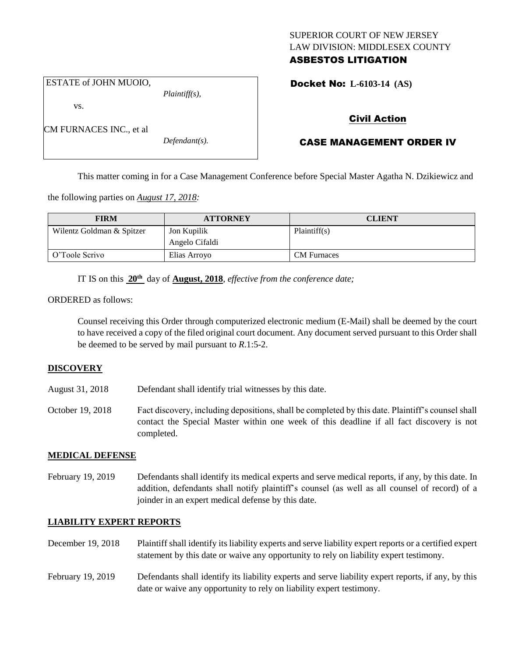## SUPERIOR COURT OF NEW JERSEY LAW DIVISION: MIDDLESEX COUNTY ASBESTOS LITIGATION

ESTATE of JOHN MUOIO,

CM FURNACES INC., et al

vs.

*Plaintiff(s),*

*Defendant(s).*

Docket No: **L-6103-14 (AS)** 

# Civil Action

# CASE MANAGEMENT ORDER IV

This matter coming in for a Case Management Conference before Special Master Agatha N. Dzikiewicz and

the following parties on *August 17, 2018:*

| <b>FIRM</b>               | <b>ATTORNEY</b> | <b>CLIENT</b>      |
|---------------------------|-----------------|--------------------|
| Wilentz Goldman & Spitzer | Jon Kupilik     | Plaintiff(s)       |
|                           | Angelo Cifaldi  |                    |
| O'Toole Scrivo            | Elias Arroyo    | <b>CM</b> Furnaces |

IT IS on this **20th** day of **August, 2018**, *effective from the conference date;*

## ORDERED as follows:

Counsel receiving this Order through computerized electronic medium (E-Mail) shall be deemed by the court to have received a copy of the filed original court document. Any document served pursuant to this Order shall be deemed to be served by mail pursuant to *R*.1:5-2.

## **DISCOVERY**

- August 31, 2018 Defendant shall identify trial witnesses by this date.
- October 19, 2018 Fact discovery, including depositions, shall be completed by this date. Plaintiff's counsel shall contact the Special Master within one week of this deadline if all fact discovery is not completed.

## **MEDICAL DEFENSE**

February 19, 2019 Defendants shall identify its medical experts and serve medical reports, if any, by this date. In addition, defendants shall notify plaintiff's counsel (as well as all counsel of record) of a joinder in an expert medical defense by this date.

## **LIABILITY EXPERT REPORTS**

- December 19, 2018 Plaintiff shall identify its liability experts and serve liability expert reports or a certified expert statement by this date or waive any opportunity to rely on liability expert testimony.
- February 19, 2019 Defendants shall identify its liability experts and serve liability expert reports, if any, by this date or waive any opportunity to rely on liability expert testimony.